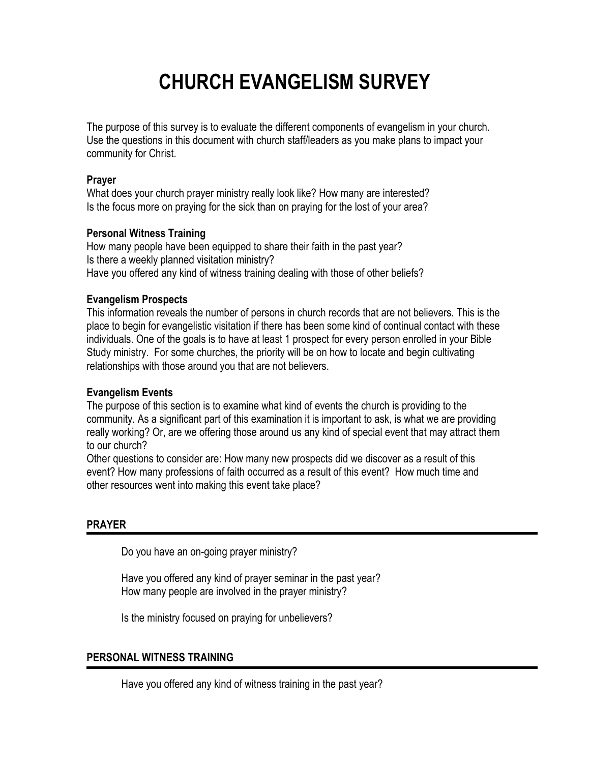# **CHURCH EVANGELISM SURVEY**

The purpose of this survey is to evaluate the different components of evangelism in your church. Use the questions in this document with church staff/leaders as you make plans to impact your community for Christ.

#### **Prayer**

What does your church prayer ministry really look like? How many are interested? Is the focus more on praying for the sick than on praying for the lost of your area?

# **Personal Witness Training**

How many people have been equipped to share their faith in the past year? Is there a weekly planned visitation ministry? Have you offered any kind of witness training dealing with those of other beliefs?

# **Evangelism Prospects**

This information reveals the number of persons in church records that are not believers. This is the place to begin for evangelistic visitation if there has been some kind of continual contact with these individuals. One of the goals is to have at least 1 prospect for every person enrolled in your Bible Study ministry.For some churches, the priority will be on how to locate and begin cultivating relationships with those around you that are not believers.

## **Evangelism Events**

The purpose of this section is to examine what kind of events the church is providing to the community. As a significant part of this examination it is important to ask, is what we are providing really working? Or, are we offering those around us any kind of special event that may attract them to our church?

Other questions to consider are: How many new prospects did we discover as a result of this event? How many professions of faith occurred as a result of this event? How much time and other resources went into making this event take place?

## **PRAYER**

Do you have an on-going prayer ministry?

Have you offered any kind of prayer seminar in the past year? How many people are involved in the prayer ministry?

Is the ministry focused on praying for unbelievers?

## **PERSONAL WITNESS TRAINING**

Have you offered any kind of witness training in the past year?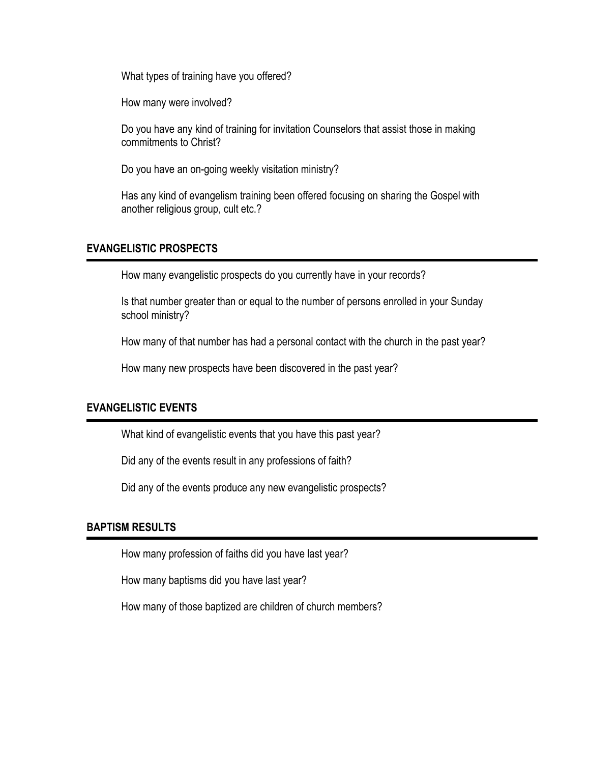What types of training have you offered?

How many were involved?

Do you have any kind of training for invitation Counselors that assist those in making commitments to Christ?

Do you have an on-going weekly visitation ministry?

Has any kind of evangelism training been offered focusing on sharing the Gospel with another religious group, cult etc.?

#### **EVANGELISTIC PROSPECTS**

How many evangelistic prospects do you currently have in your records?

Is that number greater than or equal to the number of persons enrolled in your Sunday school ministry?

How many of that number has had a personal contact with the church in the past year?

How many new prospects have been discovered in the past year?

#### **EVANGELISTIC EVENTS**

What kind of evangelistic events that you have this past year?

Did any of the events result in any professions of faith?

Did any of the events produce any new evangelistic prospects?

#### **BAPTISM RESULTS**

How many profession of faiths did you have last year?

How many baptisms did you have last year?

How many of those baptized are children of church members?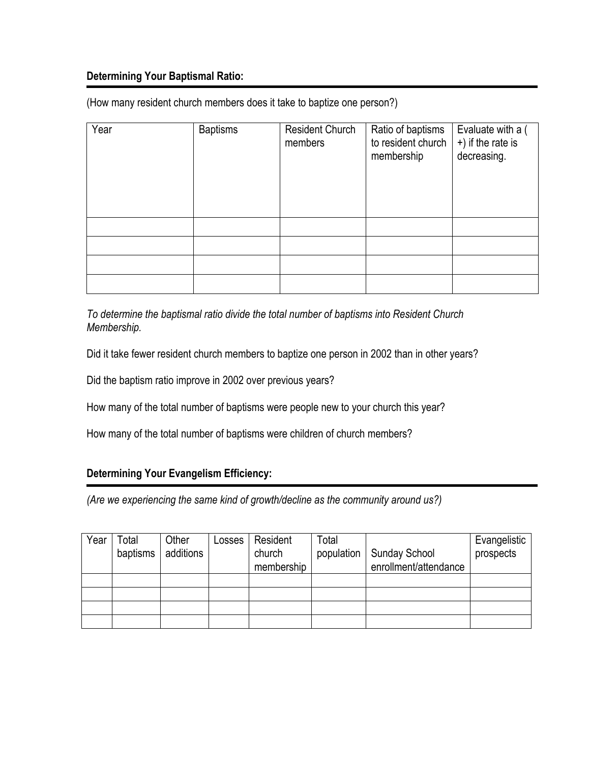## **Determining Your Baptismal Ratio:**

(How many resident church members does it take to baptize one person?)

| Year | <b>Baptisms</b> | Resident Church<br>members | Ratio of baptisms<br>to resident church<br>membership | Evaluate with a (<br>+) if the rate is<br>decreasing. |
|------|-----------------|----------------------------|-------------------------------------------------------|-------------------------------------------------------|
|      |                 |                            |                                                       |                                                       |
|      |                 |                            |                                                       |                                                       |
|      |                 |                            |                                                       |                                                       |
|      |                 |                            |                                                       |                                                       |

*To determine the baptismal ratio divide the total number of baptisms into Resident Church Membership.* 

Did it take fewer resident church members to baptize one person in 2002 than in other years?

Did the baptism ratio improve in 2002 over previous years?

How many of the total number of baptisms were people new to your church this year?

How many of the total number of baptisms were children of church members?

## **Determining Your Evangelism Efficiency:**

*(Are we experiencing the same kind of growth/decline as the community around us?)* 

| Year | ™otal    | Other     | _osses | Resident   | Total      |                       | Evangelistic |
|------|----------|-----------|--------|------------|------------|-----------------------|--------------|
|      | baptisms | additions |        | church     | population | <b>Sunday School</b>  | prospects    |
|      |          |           |        | membership |            | enrollment/attendance |              |
|      |          |           |        |            |            |                       |              |
|      |          |           |        |            |            |                       |              |
|      |          |           |        |            |            |                       |              |
|      |          |           |        |            |            |                       |              |